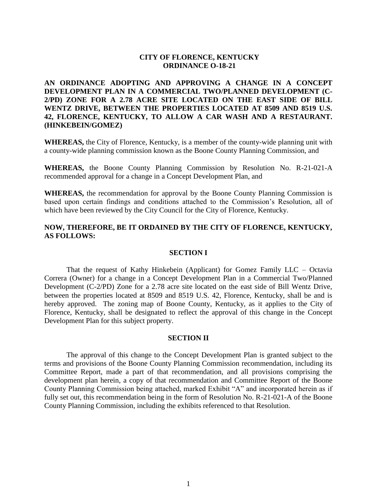# **CITY OF FLORENCE, KENTUCKY ORDINANCE O-18-21**

**AN ORDINANCE ADOPTING AND APPROVING A CHANGE IN A CONCEPT DEVELOPMENT PLAN IN A COMMERCIAL TWO/PLANNED DEVELOPMENT (C-2/PD) ZONE FOR A 2.78 ACRE SITE LOCATED ON THE EAST SIDE OF BILL WENTZ DRIVE, BETWEEN THE PROPERTIES LOCATED AT 8509 AND 8519 U.S. 42, FLORENCE, KENTUCKY, TO ALLOW A CAR WASH AND A RESTAURANT. (HINKEBEIN/GOMEZ)**

**WHEREAS,** the City of Florence, Kentucky, is a member of the county-wide planning unit with a county-wide planning commission known as the Boone County Planning Commission, and

**WHEREAS,** the Boone County Planning Commission by Resolution No. R-21-021-A recommended approval for a change in a Concept Development Plan, and

**WHEREAS,** the recommendation for approval by the Boone County Planning Commission is based upon certain findings and conditions attached to the Commission's Resolution, all of which have been reviewed by the City Council for the City of Florence, Kentucky.

# **NOW, THEREFORE, BE IT ORDAINED BY THE CITY OF FLORENCE, KENTUCKY, AS FOLLOWS:**

#### **SECTION I**

That the request of Kathy Hinkebein (Applicant) for Gomez Family LLC – Octavia Correra (Owner) for a change in a Concept Development Plan in a Commercial Two/Planned Development (C-2/PD) Zone for a 2.78 acre site located on the east side of Bill Wentz Drive, between the properties located at 8509 and 8519 U.S. 42, Florence, Kentucky, shall be and is hereby approved. The zoning map of Boone County, Kentucky, as it applies to the City of Florence, Kentucky, shall be designated to reflect the approval of this change in the Concept Development Plan for this subject property.

#### **SECTION II**

The approval of this change to the Concept Development Plan is granted subject to the terms and provisions of the Boone County Planning Commission recommendation, including its Committee Report, made a part of that recommendation, and all provisions comprising the development plan herein, a copy of that recommendation and Committee Report of the Boone County Planning Commission being attached, marked Exhibit "A" and incorporated herein as if fully set out, this recommendation being in the form of Resolution No. R-21-021-A of the Boone County Planning Commission, including the exhibits referenced to that Resolution.